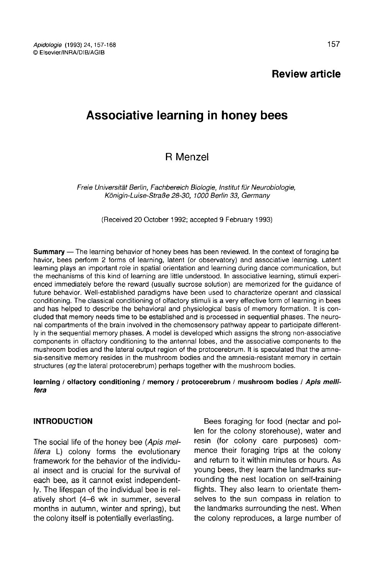# Review article

# Associative learning in honey bees

# R Menzel

Freie Universität Berlin, Fachbereich Biologie, Institut für Neurobiologie, Königin-Luise-Straße 28-30, 1000 Berlin 33, Germany

(Received 20 October 1992; accepted 9 February 1993)

**Summary** — The learning behavior of honey bees has been reviewed. In the context of foraging be havior, bees perform 2 forms of learning, latent (or observatory) and associative learning. Latent learning plays an important role in spatial orientation and learning during dance communication, but the mechanisms of this kind of learning are little understood. In associative learning, stimuli experienced immediately before the reward (usually sucrose solution) are memorized for the guidance of future behavior. Well-established paradigms have been used to characterize operant and classical conditioning. The classical conditioning of olfactory stimuli is a very effective form of learning in bees and has helped to describe the behavioral and physiological basis of memory formation. It is concluded that memory needs time to be established and is processed in sequential phases. The neuronal compartments of the brain involved in the chemosensory pathway appear to participate differently in the sequential memory phases. A model is developed which assigns the strong non-associative components in olfactory conditioning to the antennal lobes, and the associative components to the mushroom bodies and the lateral output region of the protocerebrum. It is speculated that the amnesia-sensitive memory resides in the mushroom bodies and the amnesia-resistant memory in certain structures (eg the lateral protocerebrum) perhaps together with the mushroom bodies.

#### learning / olfactory conditioning / memory / protocerebrum / mushroom bodies / Apis mellifera

# INTRODUCTION

The social life of the honey bee (Apis mellifera L) colony forms the evolutionary framework for the behavior of the individual insect and is crucial for the survival of each bee, as it cannot exist independently. The lifespan of the individual bee is relatively short (4-6 wk in summer, several months in autumn, winter and spring), but the colony itself is potentially everlasting.

Bees foraging for food (nectar and pollen for the colony storehouse), water and resin (for colony care purposes) commence their foraging trips at the colony and return to it within minutes or hours. As young bees, they learn the landmarks surrounding the nest location on self-training flights. They also learn to orientate themselves to the sun compass in relation to the landmarks surrounding the nest. When the colony reproduces, a large number of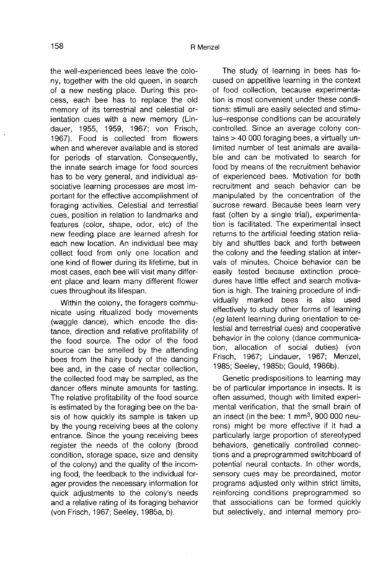the well-experienced bees leave the colony, together with the old queen, in search of a new nesting place. During this process, each bee has to replace the old memory of its terrestrial and celestial orientation cues with a new memory (Lindauer, 1955, 1959, 1967; von Frisch, 1967). Food is collected from flowers when and wherever available and is stored for periods of starvation. Consequently, the innate search image for food sources has to be very general, and individual associative learning processes are most important for the effective accomplishment of foraging activities. Celestial and terrestial cues, position in relation to landmarks and features (color, shape, odor, etc) of the new feeding place are learned afresh for each new location. An individual bee may collect food from only one location and one kind of flower during its lifetime, but in most cases, each bee will visit many different place and learn many different flower cues throughout its lifespan.

Within the colony, the foragers communicate using ritualized body movements (waggle dance), which encode the distance, direction and relative profitability of the food source. The odor of the food source can be smelled by the attending bees from the hairy body of the dancing bee and, in the case of nectar collection, the collected food may be sampled, as the dancer offers minute amounts for tasting. The relative profitability of the food source is estimated by the foraging bee on the basis of how quickly its sample is taken up by the young receiving bees at the colony entrance. Since the young receiving bees register the needs of the colony (brood condition, storage space, size and density of the colony) and the quality of the incoming food, the feedback to the individual forager provides the necessary information for quick adjustments to the colony's needs and a relative rating of its foraging behavior (von Frisch, 1967; Seeley, 1985a, b).

The study of learning in bees has focused on appetitive learning in the context of food collection, because experimentation is most convenient under these conditions: stimuli are easily selected and stimulus-response conditions can be accurately controlled. Since an average colony contains > 40 000 foraging bees, a virtually unlimited number of test animals are available and can be motivated to search for food by means of the recruitment behavior of experienced bees. Motivation for both recruitment and seach behavior can be manipulated by the concentration of the sucrose reward. Because bees learn very fast (often by a single trial), experimentation is facilitated. The experimental insect returns to the artificial feeding station reliably and shuttles back and forth between the colony and the feeding station at intervals of minutes. Choice behavior can be easily tested because extinction procedures have little effect and search motivation is high. The training procedure of individually marked bees is also used effectively to study other forms of learning (eg latent learning during orientation to celestial and terrestrial cues) and cooperative behavior in the colony (dance communication, allocation of social duties) (von Frisch, 1967; Lindauer, 1967; Menzel, 1985; Seeley, 1985b; Gould, 1986b).

Genetic predispositions to learning may be of particular importance in insects. It is often assumed, though with limited experimental verification, that the small brain of an insect (in the bee: 1 mm3, 900 000 neurons) might be more effective if it had a particularly large proportion of stereotyped behaviors, genetically controlled connections and a preprogrammed switchboard of potential neural contacts. In other words, sensory cues may be preordained, motor programs adjusted only within strict limits, reinforcing conditions preprogrammed so that associations can be formed quickly but selectively, and internal memory pro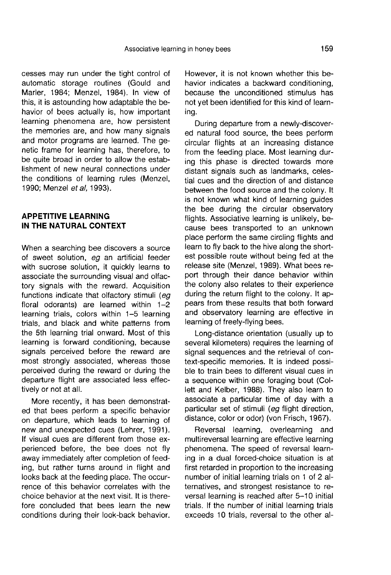cesses may run under the tight control of automatic storage routines (Gould and Marler, 1984; Menzel, 1984). In view of this, it is astounding how adaptable the behavior of bees actually is, how important learning phenomena are, how persistent the memories are, and how many signals and motor programs are learned. The genetic frame for learning has, therefore, to be quite broad in order to allow the establishment of new neural connections under the conditions of learning rules (Menzel, 1990; Menzel et al. 1993).

### APPETITIVE LEARNING IN THE NATURAL CONTEXT

When a searching bee discovers a source of sweet solution, eg an artificial feeder with sucrose solution, it quickly learns to associate the surrounding visual and olfactory signals with the reward. Acquisition functions indicate that olfactory stimuli (eg floral odorants) are learned within 1-2 learning trials, colors within 1-5 learning trials, and black and white patterns from the 5th learning trial onward. Most of this learning is forward conditioning, because signals perceived before the reward are most strongly associated, whereas those perceived during the reward or during the departure flight are associated less effectively or not at all.

More recently, it has been demonstrated that bees perform a specific behavior on departure, which leads to learning of new and unexpected cues (Lehrer, 1991). If visual cues are different from those experienced before, the bee does not fly away immediately after completion of feeding, but rather turns around in flight and looks back at the feeding place. The occurrence of this behavior correlates with the choice behavior at the next visit. It is therefore concluded that bees learn the new conditions during their look-back behavior. However, it is not known whether this behavior indicates a backward conditioning, because the unconditioned stimulus has not yet been identified for this kind of learning.

During departure from a newly-discovered natural food source, the bees perform circular flights at an increasing distance from the feeding place. Most learning during this phase is directed towards more distant signals such as landmarks, celestial cues and the direction of and distance between the food source and the colony. It is not known what kind of learning guides the bee during the circular observatory flights. Associative learning is unlikely, because bees transported to an unknown place perform the same circling flights and learn to fly back to the hive along the shortest possible route without being fed at the release site (Menzel, 1989). What bees report through their dance behavior within the colony also relates to their experience during the return flight to the colony. It appears from these results that both forward and observatory learning are effective in learning of freely-flying bees.

Long-distance orientation (usually up to several kilometers) requires the learning of signal sequences and the retrieval of context-specific memories. It is indeed possible to train bees to different visual cues in a sequence within one foraging bout (Collett and Kelber, 1988). They also learn to associate a particular time of day with a particular set of stimuli (eg flight direction, distance, color or odor) (von Frisch, 1967).

Reversal learning, overlearning and multireversal learning are effective learning phenomena. The speed of reversal learning in a dual forced-choice situation is at first retarded in proportion to the increasing number of initial learning trials on 1 of 2 alternatives, and strongest resistance to reversal learning is reached after 5-10 initial trials. If the number of initial learning trials exceeds 10 trials, reversal to the other al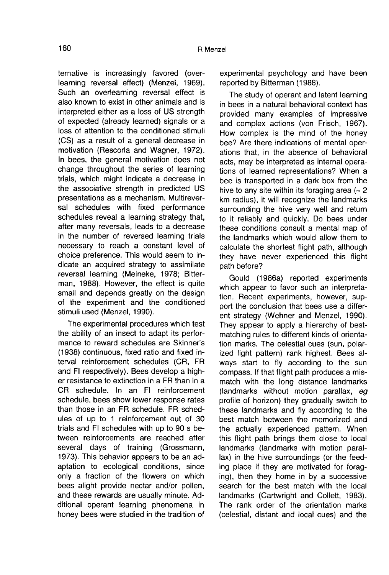ternative is increasingly favored (overlearning reversal effect) (Menzel, 1969). Such an overlearning reversal effect is also known to exist in other animals and is interpreted either as a loss of US strength of expected (already learned) signals or a loss of attention to the conditioned stimuli (CS) as a result of a general decrease in motivation (Rescorla and Wagner, 1972). In bees, the general motivation does not change throughout the series of learning trials, which might indicate a decrease in the associative strength in predicted US presentations as a mechanism. Multireversal schedules with fixed performance schedules reveal a learning strategy that, after many reversals, leads to a decrease in the number of reversed learning trials necessary to reach a constant level of choice preference. This would seem to indicate an acquired strategy to assimilate reversal learning (Meineke, 1978; Bitterman, 1988). However, the effect is quite small and depends greatly on the design of the experiment and the conditioned stimuli used (Menzel, 1990).

The experimental procedures which test the ability of an insect to adapt its perfor mance to reward schedules are Skinner's (1938) continuous, fixed ratio and fixed interval reinforcement schedules (CR, FR<br>and FI respectively). Bees develop a higher resistance to extinction in a FR than in a CR schedule. In an FI reinforcement schedule, bees show lower response rates than those in an FR schedule. FR schedules of up to 1 reinforcement out of 30 trials and FI schedules with up to 90 s between reinforcements are reached after several days of training (Grossmann, 1973). This behavior appears to be an adaptation to ecological conditions, since only a fraction of the flowers on which bees alight provide nectar and/or pollen, and these rewards are usually minute. Additional operant learning phenomena in honey bees were studied in the tradition of experimental psychology and have been reported by Bitterman (1988).

The study of operant and latent learning in bees in a natural behavioral context has provided many examples of impressive and complex actions (von Frisch, 1967). How complex is the mind of the honey bee? Are there indications of mental operations that, in the absence of behavioral acts, may be interpreted as internal operations of learned representations? When a bee is transported in a dark box from the hive to any site within its foraging area ( $\approx 2$ ) km radius), it will recognize the landmarks surrounding the hive very well and return to it reliably and quickly. Do bees under these conditions consult a mental map of the landmarks which would allow them to calculate the shortest flight path, although they have never experienced this flight path before?

Gould (1986a) reported experiments which appear to favor such an interpretation. Recent experiments, however, support the conclusion that bees use a different strategy (Wehner and Menzel, 1990). They appear to apply a hierarchy of bestmatching rules to different kinds of orientation marks. The celestial cues (sun, polarized light pattern) rank highest. Bees always start to fly according to the sun compass. If that flight path produces a mismatch with the long distance landmarks (landmarks without motion parallax, eg profile of horizon) they gradually switch to these landmarks and fly according to the best match between the memorized and the actually experienced pattern. When this flight path brings them close to local landmarks (landmarks with motion parallax) in the hive surroundings (or the feeding place if they are motivated for foraging), then they home in by a successive search for the best match with the local landmarks (Cartwright and Collett, 1983). The rank order of the orientation marks (celestial, distant and local cues) and the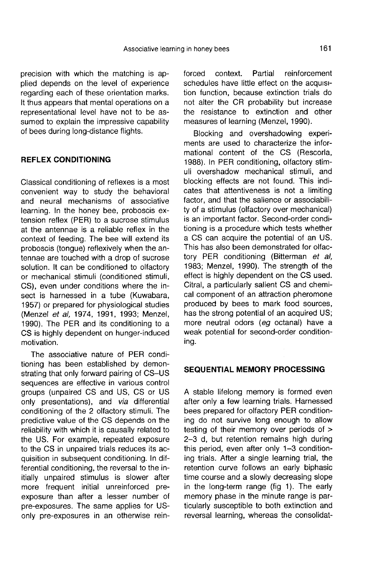precision with which the matching is applied depends on the level of experience regarding each of these orientation marks. It thus appears that mental operations on a representational level have not to be assumed to explain the impressive capability of bees during long-distance flights.

#### REFLEX CONDITIONING

Classical conditioning of reflexes is a most convenient way to study the behavioral and neural mechanisms of associative learning. In the honey bee, proboscis extension reflex (PER) to a sucrose stimulus at the antennae is a reliable reflex in the context of feeding. The bee will extend its proboscis (tongue) reflexively when the antennae are touched with a drop of sucrose solution. It can be conditioned to olfactory or mechanical stimuli (conditioned stimuli, CS), even under conditions where the insect is harnessed in a tube (Kuwabara, 1957) or prepared for physiological studies (Menzel et al, 1974, 1991, 1993; Menzel, 1990). The PER and its conditioning to a CS is highly dependent on hunger-induced motivation.

The associative nature of PER conditioning has been established by demonstrating that only forward pairing of CS-US sequences are effective in various control groups (unpaired CS and US, CS or US only presentations), and via differential conditioning of the 2 olfactory stimuli. The predictive value of the CS depends on the reliability with which it is causally related to the US. For example, repeated exposure to the CS in unpaired trials reduces its acquisition in subsequent conditioning. In differential conditioning, the reversal to the initially unpaired stimulus is slower after more frequent initial unreinforced preexposure than after a lesser number of pre-exposures. The same applies for USonly pre-exposures in an otherwise reinforced context. Partial reinforcement schedules have little effect on the acquisition function, because extinction trials do not alter the CR probability but increase the resistance to extinction and other measures of learning (Menzel, 1990).

Blocking and overshadowing experiments are used to characterize the informational content of the CS (Rescorla, 1988). In PER conditioning, olfactory stimuli overshadow mechanical stimuli, and blocking effects are not found. This indicates that attentiveness is not a limiting factor, and that the salience or associability of a stimulus (olfactory over mechanical) is an important factor. Second-order conditioning is a procedure which tests whether a CS can acquire the potential of an US. This has also been demonstrated for olfactory PER conditioning (Bitterman et al, 1983; Menzel, 1990). The strength of the effect is highly dependent on the CS used. Citral, a particularly salient CS and chemical component of an attraction pheromone produced by bees to mark food sources, has the strong potential of an acquired US; more neutral odors (eg octanal) have a weak potential for second-order conditioning.

# SEQUENTIAL MEMORY PROCESSING

A stable lifelong memory is formed even after only a few learning trials. Harnessed bees prepared for olfactory PER conditioning do not survive long enough to allow testing of their memory over periods of > 2-3 d, but retention remains high during this period, even after only 1-3 conditioning trials. After a single learning trial, the retention curve follows an early biphasic time course and a slowly decreasing slope in the long-term range (fig 1). The early memory phase in the minute range is particularly susceptible to both extinction and reversal learning, whereas the consolidat-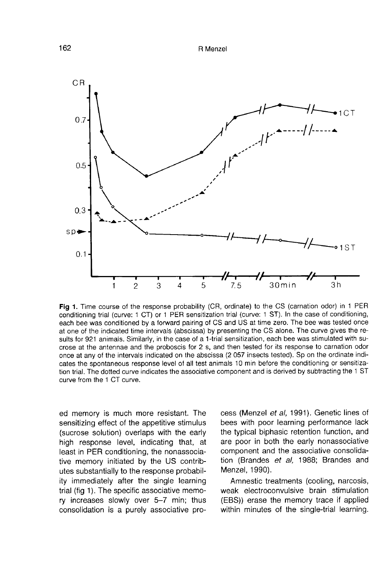

Fig 1. Time course of the response probability (CR, ordinate) to the CS (carnation odor) in 1 PER conditioning trial (curve: 1 CT) or 1 PER sensitization trial (curve: 1 ST). In the case of conditioning, each bee was conditioned by a forward pairing of CS and US at time zero. The bee was tested once at one of the indicated time intervals (abscissa) by presenting the CS alone. The curve gives the results for 921 animals. Similarly, in the case of a 1-trial sensitization, each bee was stimulated with sucrose at the antennae and the proboscis for 2 s, and then tested for its response to carnation odor once at any of the intervals indicated on the abscissa (2057 insects tested). Sp on the ordinate indicates the spontaneous response level of all test animals 10 min before the conditioning or sensitization trial. The dotted curve indicates the associative component and is derived by subtracting the 1 ST curve from the 1 CT curve.

ed memory is much more resistant. The sensitizing effect of the appetitive stimulus (sucrose solution) overlaps with the early high response level, indicating that, at least in PER conditioning, the nonassociative memory initiated by the US contributes substantially to the response probability immediately after the single learning trial (fig 1). The specific associative memory increases slowly over 5-7 min; thus consolidation is a purely associative process (Menzel et al, 1991). Genetic lines of bees with poor learning performance lack the typical biphasic retention function, and are poor in both the early nonassociative component and the associative consolidation (Brandes et al, 1988; Brandes and Menzel, 1990).

Amnestic treatments (cooling, narcosis, weak electroconvulsive brain stimulation (EBS)) erase the memory trace if applied within minutes of the single-trial learning.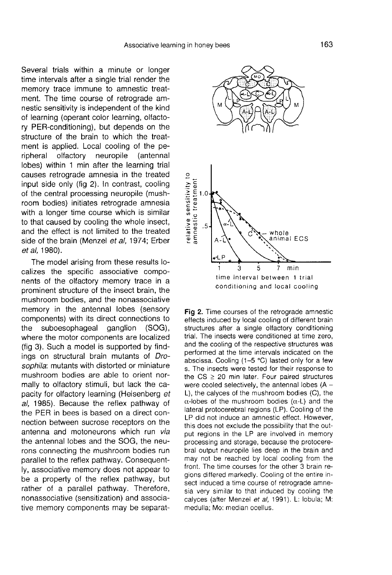Several trials within a minute or longer time intervals after a single trial render the memory trace immune to amnestic treatment. The time course of retrograde amnestic sensitivity is independent of the kind of learning (operant color learning, olfactory PER-conditioning), but depends on the structure of the brain to which the treatment is applied. Local cooling of the peripheral olfactory neuropile (antennal lobes) within 1 min after the learning trial causes retrograde amnesia in the treated input side only (fig 2). In contrast, cooling of the central processing neuropile (mush room bodies) initiates retrograde amnesia with a longer time course which is similar to that caused by cooling the whole insect, and the effect is not limited to the treated side of the brain (Menzel et al, 1974; Erber et al, 1980).

The model arising from these results localizes the specific associative components of the olfactory memory trace in a prominent structure of the insect brain, the mushroom bodies, and the nonassociative memory in the antennal lobes (sensory components) with its direct connections to<br>the suboesophageal ganglion (SOG), suboesophageal ganglion where the motor components are localized (fig 3). Such a model is supported by findings on structural brain mutants of Drosophila: mutants with distorted or miniature mushroom bodies are able to orient normally to olfactory stimuli, but lack the capacity for olfactory learning (Heisenberg et al, 1985). Because the reflex pathway of the PER in bees is based on a direct connection between sucrose receptors on the antenna and motoneurons which run via the antennal lobes and the SOG, the neurons connecting the mushroom bodies run parallel to the reflex pathway. Consequently, associative memory does not appear to be a property of the reflex pathway, but rather of a parallel pathway. Therefore, nonassociative (sensitization) and associative memory components may be separat-



Fig 2. Time courses of the retrograde amnestic effects induced by local cooling of different brain structures after a single olfactory conditioning trial. The insects were conditioned at time zero, and the cooling of the respective structures was performed at the time intervals indicated on the abscissa. Cooling (1–5 °C) lasted only for a few s. The insects were tested for their response to the  $CS \geq 20$  min later. Four paired structures were cooled selectively, the antennal lobes  $(A -$ L), the calyces of the mushroom bodies (C), the  $\alpha$ -lobes of the mushroom bodies ( $\alpha$ -L) and the lateral protocerebral regions (LP). Cooling of the LP did not induce an amnestic effect. However, this does not exclude the possibility that the output regions in the LP are involved in memory processing and storage, because the protocerebral output neuropile lies deep in the brain and may not be reached by local cooling from the front. The time courses for the other 3 brain regions differed markedly. Cooling of the entire insect induced a time course of retrograde amnesia very similar to that induced by cooling the calyces (after Menzel et al, 1991). L: lobula; M: medulla; Mo: median ocellus.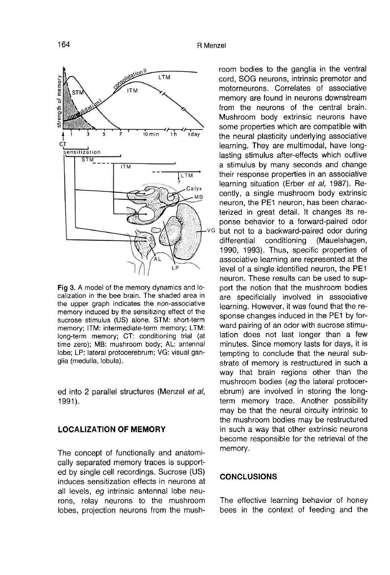

Fig 3. A model of the memory dynamics and localization in the bee brain. The shaded area in the upper graph indicates the non-associative memory induced by the sensitizing effect of the sucrose stimulus (US) alone. STM: short-term memory; ITM: intermediate-term memory; LTM: long-term memory; CT: conditioning trial (at time zero); MB: mushroom body; AL: antennal lobe; LP: lateral protocerebrum; VG: visual ganglia (medulla, lobula).

ed into 2 parallel structures (Menzel et al, 1991).

#### LOCALIZATION OF MEMORY

The concept of functionally and anatomically separated memory traces is supported by single cell recordings. Sucrose (US) induces sensitization effects in neurons at all levels, eg intrinsic antennal lobe neurons, relay neurons to the mushroom lobes, projection neurons from the mush-

room bodies to the ganglia in the ventral cord, SOG neurons, intrinsic premotor and motorneurons. Correlates of associative memory are found in neurons downstream from the neurons of the central brain. Mushroom body extrinsic neurons have some properties which are compatible with the neural plasticity underlying associative learning. They are multimodal, have longlasting stimulus after-effects which outlive a stimulus by many seconds and change their response properties in an associative learning situation (Erber et al, 1987). Recently, a single mushroom body extrinsic neuron, the PE1 neuron, has been characterized in great detail. It changes its reponse behavior to a forward-paired odor but not to a backward-paired odor during<br>differential conditioning (Mauelshagen, differential conditioning (Mauelshagen, 1990, 1993). Thus, specific properties of associative learning are represented at the level of a single identified neuron, the PE1 neuron. These results can be used to support the notion that the mushroom bodies are specificially involved in associative learning. However, it was found that the response changes induced in the PE1 by forward pairing of an odor with sucrose stimulation does not last longer than a few minutes. Since memory lasts for days, it is tempting to conclude that the neural substrate of memory is restructured in such a way that brain regions other than the mushroom bodies (eg the lateral protocerebrum) are involved in storing the longterm memory trace. Another possibility may be that the neural circuity intrinsic to the mushroom bodies may be restructured in such a way that other extrinsic neurons become responsible for the retrieval of the memory.

# **CONCLUSIONS**

The effective learning behavior of honey bees in the context of feeding and the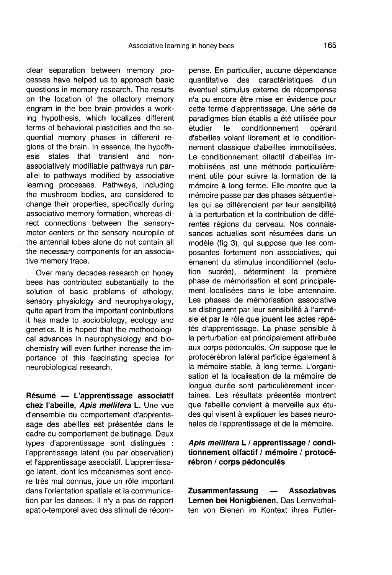clear separation between memory processes have helped us to approach basic questions in memory research. The results on the location of the olfactory memory engram in the bee brain provides a working hypothesis, which localizes different forms of behavioral plasticities and the sequential memory phases in different regions of the brain. In essence, the hypoth-<br>esis states that transient and nonstates that transient and nonassociatively modifiable pathways run parallel to pathways modified by associative learning processes. Pathways, including the mushroom bodies, are considered to change their properties, specifically during associative memory formation, whereas direct connections between the sensorymotor centers or the sensory neuropile of the antennal lobes alone do not contain all the necessary components for an associative memory trace.

Over many decades research on honey bees has contributed substantially to the solution of basic problems of ethology, sensory physiology and neurophysiology, quite apart from the important contributions it has made to sociobiology, ecology and genetics. It is hoped that the methodological advances in neurophysiology and biochemistry will even further increase the importance of this fascinating species for neurobiological research.

Résumé — L'apprentissage associatif chez l'abeille, Apis mellifera L. Une vue d'ensemble du comportement d'apprentissage des abeilles est présentée dans le cadre du comportement de butinage. Deux types d'apprentissage sont distingués : l'apprentissage latent (ou par observation) et l'apprentissage associatif. L'apprentissage latent, dont les mécanismes sont encore très mal connus, joue un rôle important dans l'orientation spatiale et la communication par les danses. Il n'y a pas de rapport spatio-temporel avec des stimuli de récompense. En particulier, aucune dépendance quantitative des caractéristiques d'un éventuel stimulus externe de récompense n'a pu encore être mise en évidence pour cette forme d'apprentissage. Une série de paradigmes bien établis a été utilisée pour<br>étudier le conditionnement opérant conditionnement d'abeilles volant librement et le conditionnement classique d'abeilles immobilisées. Le conditionnement olfactif d'abeilles immobilisées est une méthode particulièrement utile pour suivre la formation de la mémoire à long terme. Elle montre que la mémoire passe par des phases séquentielles qui se différencient par leur sensibilité à la perturbation et la contribution de différentes régions du cerveau. Nos connaissances actuelles sont résumées dans un modèle (fig 3), qui suppose que les composantes fortement non associatives, qui émanent du stimulus inconditionnel (solution sucrée), déterminent la première phase de mémorisation et sont principalement localisées dans le lobe antennaire. Les phases de mémorisation associative se distinguent par leur sensibilité à l'amnésie et par le rôle que jouent les actes répétés d'apprentissage. La phase sensible à la perturbation est principalement attribuée aux corps pédonculés. On suppose que le protocérébron latéral participe également à la mémoire stable, à long terme. L'organisation et la localisation de la mémoire de longue durée sont particulièrement incertaines. Les résultats présentés montrent que l'abeille convient à merveille aux études qui visent à expliquer les bases neuronales de l'apprentissage et de la mémoire.

Apis mellifera L / apprentissage / conditionnement olfactif / mémoire / protocérébron / corps pédonculés

Zusammenfassung — Assoziatives Lernen bei Honigbienen. Das Lernverhalten von Bienen im Kontext ihres Futter-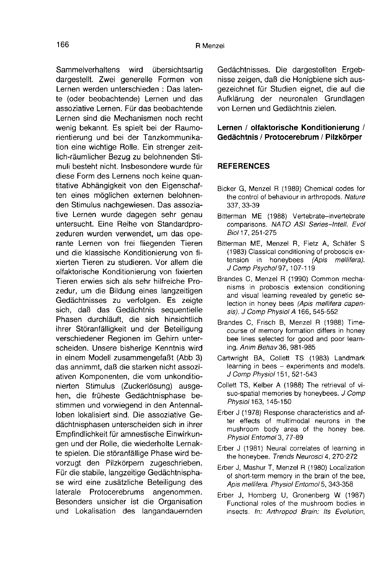Sammelverhaltens wird übersichtsartig dargestellt. Zwei generelle Formen von Lernen werden unterschieden : Das latente (oder beobachtende) Lernen und das assoziative Lernen. Für das beobachtende Lernen sind die Mechanismen noch recht wenig bekannt. Es spielt bei der Raumorientierung und bei der Tanzkommunikation eine wichtige Rolle. Ein strenger zeitlich-räumlicher Bezug zu belohnenden Stimuli besteht nicht. Insbesondere wurde für diese Form des Lernens noch keine quantitative Abhängigkeit von den Eigenschaften eines möglichen externen belohnenden Stimulus nachgewiesen. Das assoziative Lernen wurde dagegen sehr genau untersucht. Eine Reihe von Standardprozeduren wurden verwendet, um das operante Lernen von frei fliegenden Tieren und die klassische Konditionierung von fixierten Tieren zu studieren. Vor allem die olfaktorische Konditionierung von fixierten Tieren erwies sich als sehr hilfreiche Prozedur, um die Bildung eines langzeitigen Gedächtnisses zu verfolgen. Es zeigte sich, daß das Gedächtnis sequentielle Phasen durchläuft, die sich hinsichtlich ihrer Störanfälligkeit und der Beteiligung verschiedener Regionen im Gehirn unterscheiden. Unsere bisherige Kenntnis wird in einem Modell zusammengefaßt (Abb 3) das annimmt, daß die starken nicht assoziativen Komponenten, die vom unkonditionierten Stimulus (Zuckerlösung) ausgehen, die früheste Gedächtnisphase bestimmen und vorwiegend in den Antennalloben lokalisiert sind. Die assoziative Gedächtnisphasen unterscheiden sich in ihrer Empfindlichkeit für amnestische Einwirkungen und der Rolle, die wiederholte Lernakte spielen. Die störanfällige Phase wird bevorzugt den Pilzkörpern zugeschrieben. Für die stabile, langzeitige Gedächtnispha se wird eine zusätzliche Beteiligung des<br>laterale Protocerebrums angenommen. laterale Protocerebrums Besonders unsicher ist die Organisation und Lokalisation des langandauernden

Gedächtnisses. Die dargestellten Ergebnisse zeigen, daß die Honigbiene sich ausgezeichnet für Studien eignet, die auf die Aufklärung der neuronalen Grundlagen von Lernen und Gedächtnis zielen.

#### Lernen / olfaktorische Konditionierung / Gedächtnis / Protocerebrum / Pilzkörper

#### **REFERENCES**

- Bicker G, Menzel R (1989) Chemical codes for the control of behaviour in arthropods. Nature 337, 33-39
- Bitterman ME (1988) Vertebrate-invertebrate comparisons. NATO ASI Series-Intell. Evol Biol 17, 251-275
- Bitterman ME, Menzel R, Fietz A, Schäfer S (1983) Classical conditioning of proboscis extension in honeybees (Apis mellifera). J Comp Psychol 97, 107-119
- Brandes C, Menzel R (1990) Common mechanisms in proboscis extension conditioning and visual learning revealed by genetic selection in honey bees (Apis mellifera capensis). J Comp Physiol A 166, 545-552
- Brandes C, Frisch B, Menzel R (1988) Timecourse of memory formation differs in honey bee lines selected for good and poor learning. Anim Behav36, 981-985
- Cartwright BA, Collett TS (1983) Landmark learning in bees — experiments and models. J Comp Physiol 151, 521-543
- Collett TS, Kelber A (1988) The retrieval of visuo-spatial memories by honeybees. J Comp Physiol 163, 145-150
- Erber J (1978) Response characteristics and after effects of multimodal neurons in the mushroom body area of the honey bee. Physiol Entomol 3, 77-89
- Erber J (1981) Neural correlates of learning in the honeybee. Trends Neurosci 4, 270-272
- Erber J, Mashur T, Menzel R (1980) Localization of short-term memory in the brain of the bee, Apis mellifera. Physiol Entomol 5, 343-358
- Erber J, Homberg U, Gronenberg W (1987) Functional roles of the mushroom bodies in insects. In: Arthropod Brain: Its Evolution,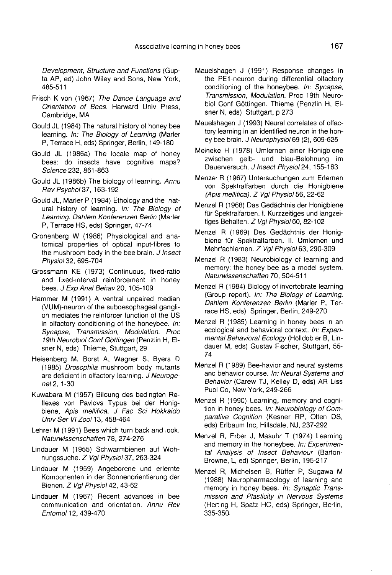Development, Structure and Functions (Gup-<br>ta AP, ed) John Wiley and Sons, New York, 485-511

- Frisch K von (1967) The Dance Language and Orientation of Bees. Harward Univ Press, Cambridge, MA
- Gould JL (1984) The natural history of honey bee learning. In: The Biology of Learning (Marler P, Terrace H, eds) Springer, Berlin, 149-180
- Gould JL (1986a) The locale map of honey bees: do insects have cognitive maps? Science 232, 861-863
- Gould JL (1986b) The biology of learning. Annu Rev Psychol 37, 163-192
- Gould JL, Marler P (1984) Ethology and the natural history of learning. In: The Biology of Learning. Dahlem Konferenzen Berlin (Marler P, Terrace HS, eds) Springer, 47-74
- Gronenberg W (1986) Physiological and anatomical properties of optical input-fibres to the mushroom body in the bee brain. J Insect Physiol 32, 695-704
- Grossmann KE (1973) Continuous, fixed-ratio and fixed-interval reinforcement in honey bees. J Exp Anal Behav 20, 105-109
- Hammer M (1991) A ventral unpaired median<br>(VUM)-neuron of the suboesophageal ganglion mediates the reinforcer function of the US in olfactory conditioning of the honeybee. In: Synapse, Transmission, Modulation. Proc 19th Neurobiol Conf Göttingen (Penzlin H, Elsner N, eds) Thieme, Stuttgart, 29
- Heisenberg M, Borst A, Wagner S, Byers D (1985) Drosophila mushroom body mutants are deficient in olfactory learning. J Neurogenet 2, 1-30
- Kuwabara M (1957) Bildung des bedingten Reflexes von Pavlovs Typus bei der Honigbiene, Apis mellifica. J Fac Sci Hokkaido Univ Ser VI Zool 13, 458-464
- Lehrer M (1991) Bees which turn back and look. Naturwissenschaften 78, 274-276
- Lindauer M (1955) Schwarmbienen auf Wohnungssuche. Z Vgl Physiol 37, 263-324
- Lindauer M (1959) Angeborene und erlernte Komponenten in der Sonnenorientierung der Bienen. Z Vgl Physiol 42, 43-62
- Lindauer M (1967) Recent advances in bee communication and orientation. Annu Rev Entomol 12, 439-470
- Mauelshagen J (1991) Response changes in the PE1-neuron during differential olfactory conditioning of the honeybee. In: Synapse, Transmission, Modulation. Proc 19th Neurobiol Conf Göttingen. Thieme (Penzlin H, Elsner N, eds) Stuttgart, p 273
- Mauelshagen J (1993) Neural correlates of olfactory learning in an identified neuron in the honey bee brain. J Neurophysiol 69 (2), 609-625
- Meineke H (1978) Umlernen einer Honigbiene zwischen gelb- und blau-Belohnung im Dauerversuch. J Insect Physiol 24, 155-163
- Menzel R (1967) Untersuchungen zum Erlernen von Spektralfarben durch die Honigbiene (Apis mellifica). Z Vgl Physiol 56, 22-62
- Menzel R (1968) Das Gedächtnis der Honigbiene für Spektralfarben. I. Kurzzeitiges und langzeitiges Behalten. Z Vgl Physiol 60, 82-102
- Menzel R (1969) Des Gedächtnis der Honigbiene für Spektralfarben. II. Umlernen und Mehrfachlernen. Z Vgl Physiol 63, 290-309
- Menzel R (1983) Neurobiology of learning and memory: the honey bee as a model system. Naturwissenschaften 70, 504-511
- Menzel R (1984) Biology of invertebrate learning (Group report). In: The Biology of Learning. Dahlem Konferenzen Berlin (Marler P, Terrace HS, eds) Springer, Berlin, 249-270
- Menzel R (1985) Learning in honey bees in an ecological and behavioral context. In: Experimental Behavioral Ecology (Hölldobler B, Lindauer M, eds) Gustav Fischer, Stuttgart, 55- 74
- Menzel R (1989) Bee-havior and neural systems and behavior course. In: Neural Systems and Behavior (Carew TJ, Kelley D, eds) AR Liss Publ Co, New York, 249-266
- Menzel R (1990) Learning, memory and cognition in honey bees. In: Neurobiology of Comparative Cognition (Kesner RP, Olten DS, eds) Erlbaum Inc, Hillsdale, NJ, 237-292
- Menzel R, Erber J, Masuhr T (1974) Learning and memory in the honeybee. In: Experimental Analysis of Insect Behaviour (Barton-Browne, L, ed) Springer, Berlin, 195-217
- Menzel R, Michelsen B, Rüffer P, Sugawa M (1988) Neuropharmacology of learning and memory in honey bees. In: Synaptic Transmission and Plasticity in Nervous Systems (Herting H, Spatz HC, eds) Springer, Berlin, 335-350.